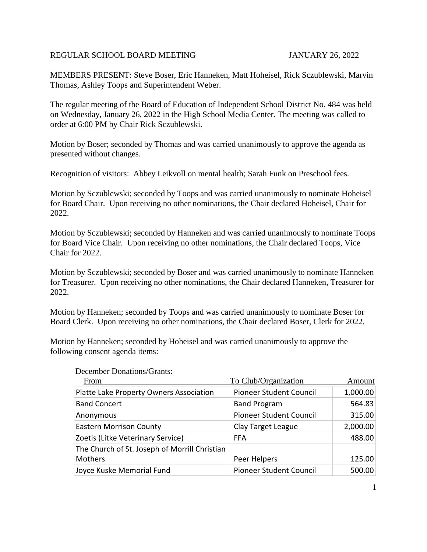### REGULAR SCHOOL BOARD MEETING JANUARY 26, 2022

MEMBERS PRESENT: Steve Boser, Eric Hanneken, Matt Hoheisel, Rick Sczublewski, Marvin Thomas, Ashley Toops and Superintendent Weber.

The regular meeting of the Board of Education of Independent School District No. 484 was held on Wednesday, January 26, 2022 in the High School Media Center. The meeting was called to order at 6:00 PM by Chair Rick Sczublewski.

Motion by Boser; seconded by Thomas and was carried unanimously to approve the agenda as presented without changes.

Recognition of visitors: Abbey Leikvoll on mental health; Sarah Funk on Preschool fees.

Motion by Sczublewski; seconded by Toops and was carried unanimously to nominate Hoheisel for Board Chair. Upon receiving no other nominations, the Chair declared Hoheisel, Chair for 2022.

Motion by Sczublewski; seconded by Hanneken and was carried unanimously to nominate Toops for Board Vice Chair. Upon receiving no other nominations, the Chair declared Toops, Vice Chair for 2022.

Motion by Sczublewski; seconded by Boser and was carried unanimously to nominate Hanneken for Treasurer. Upon receiving no other nominations, the Chair declared Hanneken, Treasurer for 2022.

Motion by Hanneken; seconded by Toops and was carried unanimously to nominate Boser for Board Clerk. Upon receiving no other nominations, the Chair declared Boser, Clerk for 2022.

Motion by Hanneken; seconded by Hoheisel and was carried unanimously to approve the following consent agenda items:

| From                                          | To Club/Organization           | Amount   |
|-----------------------------------------------|--------------------------------|----------|
| Platte Lake Property Owners Association       | <b>Pioneer Student Council</b> | 1,000.00 |
| <b>Band Concert</b>                           | <b>Band Program</b>            | 564.83   |
| Anonymous                                     | <b>Pioneer Student Council</b> | 315.00   |
| <b>Eastern Morrison County</b>                | Clay Target League             | 2,000.00 |
| Zoetis (Litke Veterinary Service)             | <b>FFA</b>                     | 488.00   |
| The Church of St. Joseph of Morrill Christian |                                |          |
| Mothers                                       | Peer Helpers                   | 125.00   |
| Joyce Kuske Memorial Fund                     | <b>Pioneer Student Council</b> | 500.00   |

December Donations/Grants: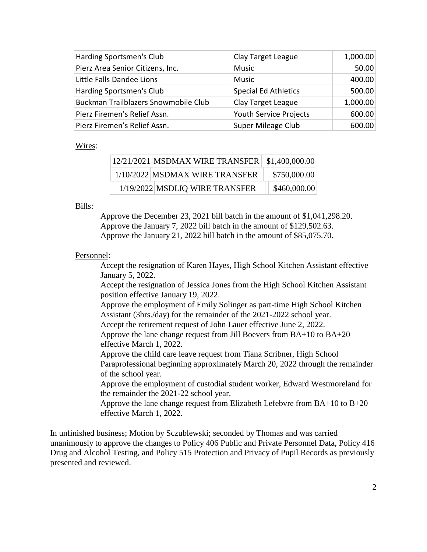| Harding Sportsmen's Club             | Clay Target League          | 1,000.00 |
|--------------------------------------|-----------------------------|----------|
| Pierz Area Senior Citizens, Inc.     | Music                       | 50.00    |
| Little Falls Dandee Lions            | <b>Music</b>                | 400.00   |
| Harding Sportsmen's Club             | <b>Special Ed Athletics</b> | 500.00   |
| Buckman Trailblazers Snowmobile Club | Clay Target League          | 1,000.00 |
| Pierz Firemen's Relief Assn.         | Youth Service Projects      | 600.00   |
| Pierz Firemen's Relief Assn.         | Super Mileage Club          | 600.00   |

#### Wires:

| 12/21/2021 MSDMAX WIRE TRANSFER   \$1,400,000.00 |              |
|--------------------------------------------------|--------------|
| 1/10/2022 MSDMAX WIRE TRANSFER                   | \$750,000.00 |
| 1/19/2022 MSDLIQ WIRE TRANSFER                   | \$460,000.00 |

### Bills:

Approve the December 23, 2021 bill batch in the amount of \$1,041,298.20. Approve the January 7, 2022 bill batch in the amount of \$129,502.63. Approve the January 21, 2022 bill batch in the amount of \$85,075.70.

# Personnel:

Accept the resignation of Karen Hayes, High School Kitchen Assistant effective January 5, 2022.

Accept the resignation of Jessica Jones from the High School Kitchen Assistant position effective January 19, 2022.

Approve the employment of Emily Solinger as part-time High School Kitchen Assistant (3hrs./day) for the remainder of the 2021-2022 school year.

Accept the retirement request of John Lauer effective June 2, 2022.

Approve the lane change request from Jill Boevers from BA+10 to BA+20 effective March 1, 2022.

Approve the child care leave request from Tiana Scribner, High School

Paraprofessional beginning approximately March 20, 2022 through the remainder of the school year.

Approve the employment of custodial student worker, Edward Westmoreland for the remainder the 2021-22 school year.

Approve the lane change request from Elizabeth Lefebvre from  $BA+10$  to  $B+20$ effective March 1, 2022.

In unfinished business; Motion by Sczublewski; seconded by Thomas and was carried unanimously to approve the changes to Policy 406 Public and Private Personnel Data, Policy 416 Drug and Alcohol Testing, and Policy 515 Protection and Privacy of Pupil Records as previously presented and reviewed.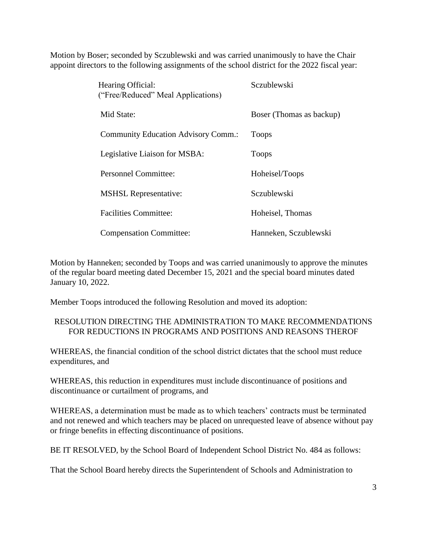Motion by Boser; seconded by Sczublewski and was carried unanimously to have the Chair appoint directors to the following assignments of the school district for the 2022 fiscal year:

| Hearing Official:<br>("Free/Reduced" Meal Applications) | Sczublewski              |
|---------------------------------------------------------|--------------------------|
| Mid State:                                              | Boser (Thomas as backup) |
| <b>Community Education Advisory Comm.:</b>              | <b>Toops</b>             |
| Legislative Liaison for MSBA:                           | <b>Toops</b>             |
| <b>Personnel Committee:</b>                             | Hoheisel/Toops           |
| <b>MSHSL Representative:</b>                            | Sczublewski              |
| <b>Facilities Committee:</b>                            | Hoheisel, Thomas         |
| <b>Compensation Committee:</b>                          | Hanneken, Sczublewski    |

Motion by Hanneken; seconded by Toops and was carried unanimously to approve the minutes of the regular board meeting dated December 15, 2021 and the special board minutes dated January 10, 2022.

Member Toops introduced the following Resolution and moved its adoption:

# RESOLUTION DIRECTING THE ADMINISTRATION TO MAKE RECOMMENDATIONS FOR REDUCTIONS IN PROGRAMS AND POSITIONS AND REASONS THEROF

WHEREAS, the financial condition of the school district dictates that the school must reduce expenditures, and

WHEREAS, this reduction in expenditures must include discontinuance of positions and discontinuance or curtailment of programs, and

WHEREAS, a determination must be made as to which teachers' contracts must be terminated and not renewed and which teachers may be placed on unrequested leave of absence without pay or fringe benefits in effecting discontinuance of positions.

BE IT RESOLVED, by the School Board of Independent School District No. 484 as follows:

That the School Board hereby directs the Superintendent of Schools and Administration to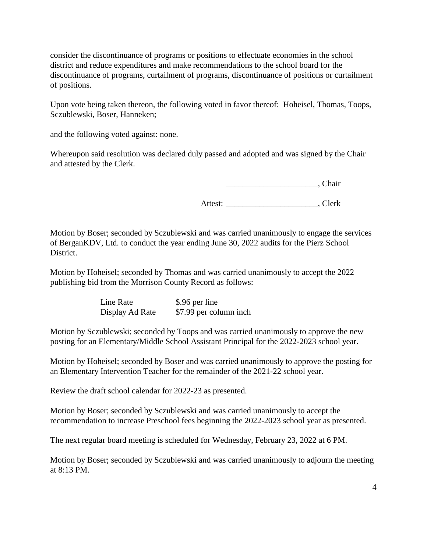consider the discontinuance of programs or positions to effectuate economies in the school district and reduce expenditures and make recommendations to the school board for the discontinuance of programs, curtailment of programs, discontinuance of positions or curtailment of positions.

Upon vote being taken thereon, the following voted in favor thereof: Hoheisel, Thomas, Toops, Sczublewski, Boser, Hanneken;

and the following voted against: none.

Whereupon said resolution was declared duly passed and adopted and was signed by the Chair and attested by the Clerk.

\_\_\_\_\_\_\_\_\_\_\_\_\_\_\_\_\_\_\_\_\_\_, Chair

Attest: Clerk

Motion by Boser; seconded by Sczublewski and was carried unanimously to engage the services of BerganKDV, Ltd. to conduct the year ending June 30, 2022 audits for the Pierz School District.

Motion by Hoheisel; seconded by Thomas and was carried unanimously to accept the 2022 publishing bid from the Morrison County Record as follows:

| Line Rate       | \$.96 per line         |
|-----------------|------------------------|
| Display Ad Rate | \$7.99 per column inch |

Motion by Sczublewski; seconded by Toops and was carried unanimously to approve the new posting for an Elementary/Middle School Assistant Principal for the 2022-2023 school year.

Motion by Hoheisel; seconded by Boser and was carried unanimously to approve the posting for an Elementary Intervention Teacher for the remainder of the 2021-22 school year.

Review the draft school calendar for 2022-23 as presented.

Motion by Boser; seconded by Sczublewski and was carried unanimously to accept the recommendation to increase Preschool fees beginning the 2022-2023 school year as presented.

The next regular board meeting is scheduled for Wednesday, February 23, 2022 at 6 PM.

Motion by Boser; seconded by Sczublewski and was carried unanimously to adjourn the meeting at 8:13 PM.